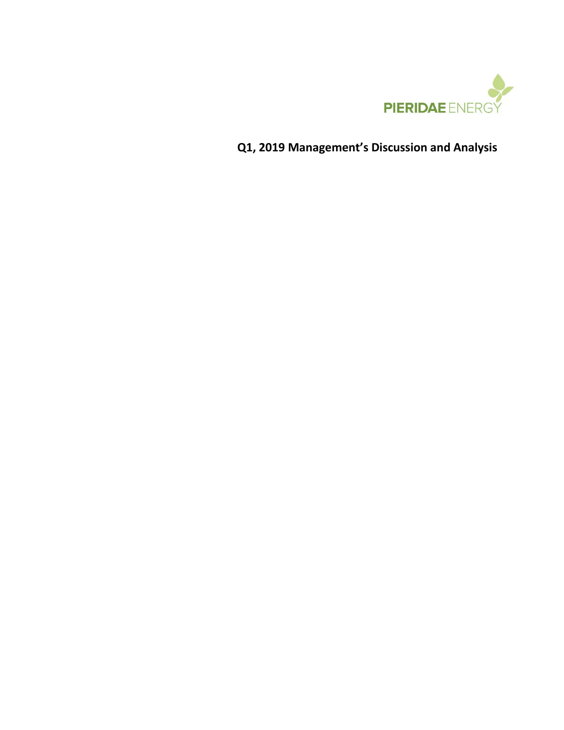

**Q1, 2019 Management's Discussion and Analysis**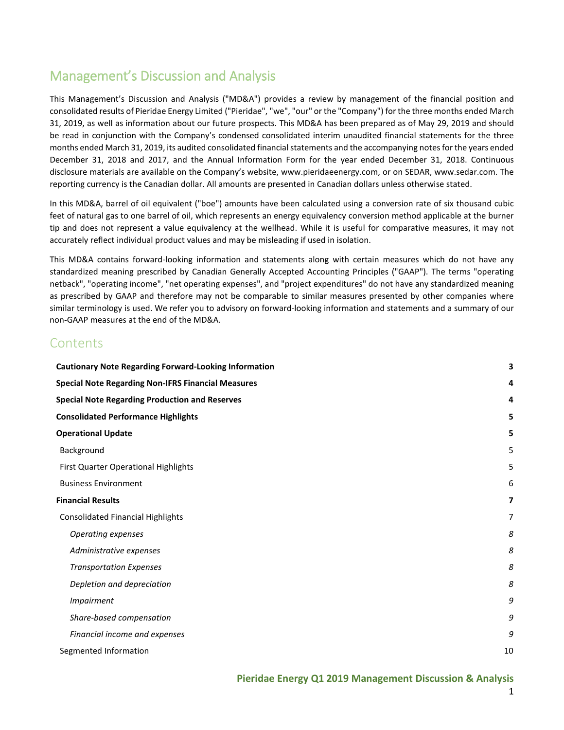# Management's Discussion and Analysis

This Management's Discussion and Analysis ("MD&A") provides a review by management of the financial position and consolidated results of Pieridae Energy Limited ("Pieridae", "we", "our" or the "Company") for the three months ended March 31, 2019, as well as information about our future prospects. This MD&A has been prepared as of May 29, 2019 and should be read in conjunction with the Company's condensed consolidated interim unaudited financial statements for the three months ended March 31, 2019, its audited consolidated financial statements and the accompanying notes for the years ended December 31, 2018 and 2017, and the Annual Information Form for the year ended December 31, 2018. Continuous disclosure materials are available on the Company's website, [www.pieridaeenergy.com,](http://www.pieridaeenergy.com/) or on SEDAR[, www.sedar.com.](http://www.sedar.com/) The reporting currency is the Canadian dollar. All amounts are presented in Canadian dollars unless otherwise stated.

In this MD&A, barrel of oil equivalent ("boe") amounts have been calculated using a conversion rate of six thousand cubic feet of natural gas to one barrel of oil, which represents an energy equivalency conversion method applicable at the burner tip and does not represent a value equivalency at the wellhead. While it is useful for comparative measures, it may not accurately reflect individual product values and may be misleading if used in isolation.

This MD&A contains forward-looking information and statements along with certain measures which do not have any standardized meaning prescribed by Canadian Generally Accepted Accounting Principles ("GAAP"). The terms "operating netback", "operating income", "net operating expenses", and "project expenditures" do not have any standardized meaning as prescribed by GAAP and therefore may not be comparable to similar measures presented by other companies where similar terminology is used. We refer you to advisory on forward-looking information and statements and a summary of our non-GAAP measures at the end of the MD&A.

## **Contents**

| <b>Cautionary Note Regarding Forward-Looking Information</b> | З  |
|--------------------------------------------------------------|----|
| <b>Special Note Regarding Non-IFRS Financial Measures</b>    | 4  |
| <b>Special Note Regarding Production and Reserves</b>        | 4  |
| <b>Consolidated Performance Highlights</b>                   | 5  |
| <b>Operational Update</b>                                    | 5  |
| Background                                                   | 5  |
| First Quarter Operational Highlights                         | 5  |
| <b>Business Environment</b>                                  | 6  |
| <b>Financial Results</b>                                     | 7  |
| <b>Consolidated Financial Highlights</b>                     | 7  |
| <b>Operating expenses</b>                                    | 8  |
| Administrative expenses                                      | 8  |
| <b>Transportation Expenses</b>                               | 8  |
| Depletion and depreciation                                   | 8  |
| <b>Impairment</b>                                            | 9  |
| Share-based compensation                                     | 9  |
| Financial income and expenses                                | 9  |
| Segmented Information                                        | 10 |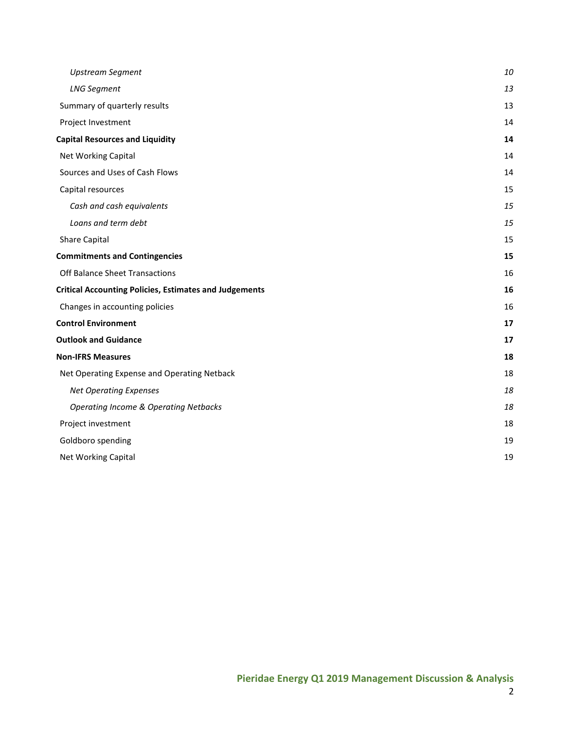| <b>Upstream Segment</b>                                       | 10 |
|---------------------------------------------------------------|----|
| <b>LNG Segment</b>                                            | 13 |
| Summary of quarterly results                                  | 13 |
| Project Investment                                            | 14 |
| <b>Capital Resources and Liquidity</b>                        | 14 |
| Net Working Capital                                           | 14 |
| Sources and Uses of Cash Flows                                | 14 |
| Capital resources                                             | 15 |
| Cash and cash equivalents                                     | 15 |
| Loans and term debt                                           | 15 |
| <b>Share Capital</b>                                          | 15 |
| <b>Commitments and Contingencies</b>                          | 15 |
| Off Balance Sheet Transactions                                | 16 |
| <b>Critical Accounting Policies, Estimates and Judgements</b> | 16 |
| Changes in accounting policies                                | 16 |
| <b>Control Environment</b>                                    | 17 |
| <b>Outlook and Guidance</b>                                   | 17 |
| <b>Non-IFRS Measures</b>                                      | 18 |
| Net Operating Expense and Operating Netback                   | 18 |
| <b>Net Operating Expenses</b>                                 | 18 |
| <b>Operating Income &amp; Operating Netbacks</b>              | 18 |
| Project investment                                            | 18 |
| Goldboro spending                                             | 19 |
| Net Working Capital                                           | 19 |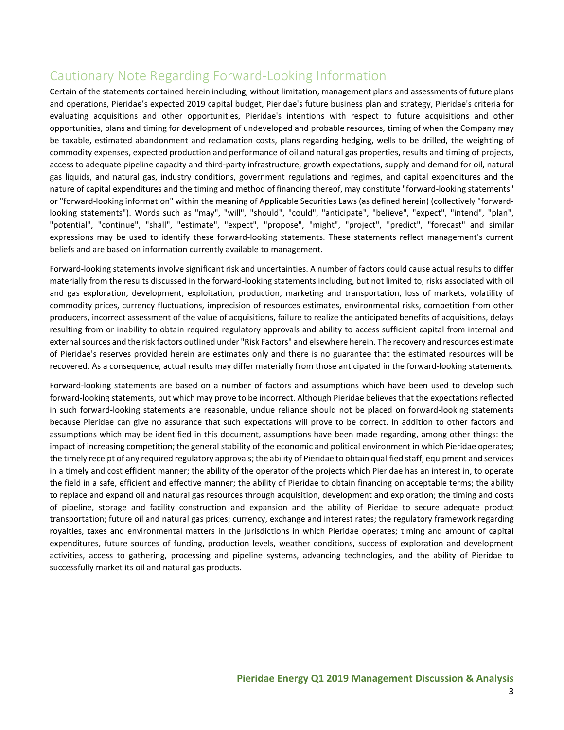# <span id="page-3-0"></span>Cautionary Note Regarding Forward-Looking Information

Certain of the statements contained herein including, without limitation, management plans and assessments of future plans and operations, Pieridae's expected 2019 capital budget, Pieridae's future business plan and strategy, Pieridae's criteria for evaluating acquisitions and other opportunities, Pieridae's intentions with respect to future acquisitions and other opportunities, plans and timing for development of undeveloped and probable resources, timing of when the Company may be taxable, estimated abandonment and reclamation costs, plans regarding hedging, wells to be drilled, the weighting of commodity expenses, expected production and performance of oil and natural gas properties, results and timing of projects, access to adequate pipeline capacity and third-party infrastructure, growth expectations, supply and demand for oil, natural gas liquids, and natural gas, industry conditions, government regulations and regimes, and capital expenditures and the nature of capital expenditures and the timing and method of financing thereof, may constitute "forward-looking statements" or "forward-looking information" within the meaning of Applicable Securities Laws (as defined herein) (collectively "forwardlooking statements"). Words such as "may", "will", "should", "could", "anticipate", "believe", "expect", "intend", "plan", "potential", "continue", "shall", "estimate", "expect", "propose", "might", "project", "predict", "forecast" and similar expressions may be used to identify these forward-looking statements. These statements reflect management's current beliefs and are based on information currently available to management.

Forward-looking statements involve significant risk and uncertainties. A number of factors could cause actual results to differ materially from the results discussed in the forward-looking statements including, but not limited to, risks associated with oil and gas exploration, development, exploitation, production, marketing and transportation, loss of markets, volatility of commodity prices, currency fluctuations, imprecision of resources estimates, environmental risks, competition from other producers, incorrect assessment of the value of acquisitions, failure to realize the anticipated benefits of acquisitions, delays resulting from or inability to obtain required regulatory approvals and ability to access sufficient capital from internal and external sources and the risk factors outlined under "Risk Factors" and elsewhere herein. The recovery and resources estimate of Pieridae's reserves provided herein are estimates only and there is no guarantee that the estimated resources will be recovered. As a consequence, actual results may differ materially from those anticipated in the forward-looking statements.

Forward-looking statements are based on a number of factors and assumptions which have been used to develop such forward-looking statements, but which may prove to be incorrect. Although Pieridae believes that the expectations reflected in such forward-looking statements are reasonable, undue reliance should not be placed on forward-looking statements because Pieridae can give no assurance that such expectations will prove to be correct. In addition to other factors and assumptions which may be identified in this document, assumptions have been made regarding, among other things: the impact of increasing competition; the general stability of the economic and political environment in which Pieridae operates; the timely receipt of any required regulatory approvals; the ability of Pieridae to obtain qualified staff, equipment and services in a timely and cost efficient manner; the ability of the operator of the projects which Pieridae has an interest in, to operate the field in a safe, efficient and effective manner; the ability of Pieridae to obtain financing on acceptable terms; the ability to replace and expand oil and natural gas resources through acquisition, development and exploration; the timing and costs of pipeline, storage and facility construction and expansion and the ability of Pieridae to secure adequate product transportation; future oil and natural gas prices; currency, exchange and interest rates; the regulatory framework regarding royalties, taxes and environmental matters in the jurisdictions in which Pieridae operates; timing and amount of capital expenditures, future sources of funding, production levels, weather conditions, success of exploration and development activities, access to gathering, processing and pipeline systems, advancing technologies, and the ability of Pieridae to successfully market its oil and natural gas products.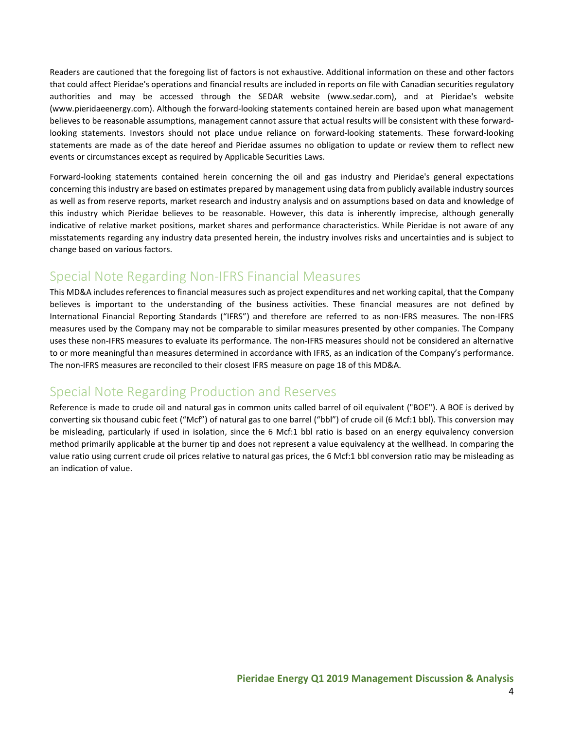Readers are cautioned that the foregoing list of factors is not exhaustive. Additional information on these and other factors that could affect Pieridae's operations and financial results are included in reports on file with Canadian securities regulatory authorities and may be accessed through the SEDAR website (www.sedar.com), and at Pieridae's website (www.pieridaeenergy.com). Although the forward-looking statements contained herein are based upon what management believes to be reasonable assumptions, management cannot assure that actual results will be consistent with these forwardlooking statements. Investors should not place undue reliance on forward-looking statements. These forward-looking statements are made as of the date hereof and Pieridae assumes no obligation to update or review them to reflect new events or circumstances except as required by Applicable Securities Laws.

Forward-looking statements contained herein concerning the oil and gas industry and Pieridae's general expectations concerning this industry are based on estimates prepared by management using data from publicly available industry sources as well as from reserve reports, market research and industry analysis and on assumptions based on data and knowledge of this industry which Pieridae believes to be reasonable. However, this data is inherently imprecise, although generally indicative of relative market positions, market shares and performance characteristics. While Pieridae is not aware of any misstatements regarding any industry data presented herein, the industry involves risks and uncertainties and is subject to change based on various factors.

## <span id="page-4-0"></span>Special Note Regarding Non-IFRS Financial Measures

This MD&A includes references to financial measures such as project expenditures and net working capital, that the Company believes is important to the understanding of the business activities. These financial measures are not defined by International Financial Reporting Standards ("IFRS") and therefore are referred to as non-IFRS measures. The non-IFRS measures used by the Company may not be comparable to similar measures presented by other companies. The Company uses these non-IFRS measures to evaluate its performance. The non-IFRS measures should not be considered an alternative to or more meaningful than measures determined in accordance with IFRS, as an indication of the Company's performance. The non-IFRS measures are reconciled to their closest IFRS measure on page 18 of this MD&A.

## <span id="page-4-1"></span>Special Note Regarding Production and Reserves

Reference is made to crude oil and natural gas in common units called barrel of oil equivalent ("BOE"). A BOE is derived by converting six thousand cubic feet ("Mcf") of natural gas to one barrel ("bbl") of crude oil (6 Mcf:1 bbl). This conversion may be misleading, particularly if used in isolation, since the 6 Mcf:1 bbl ratio is based on an energy equivalency conversion method primarily applicable at the burner tip and does not represent a value equivalency at the wellhead. In comparing the value ratio using current crude oil prices relative to natural gas prices, the 6 Mcf:1 bbl conversion ratio may be misleading as an indication of value.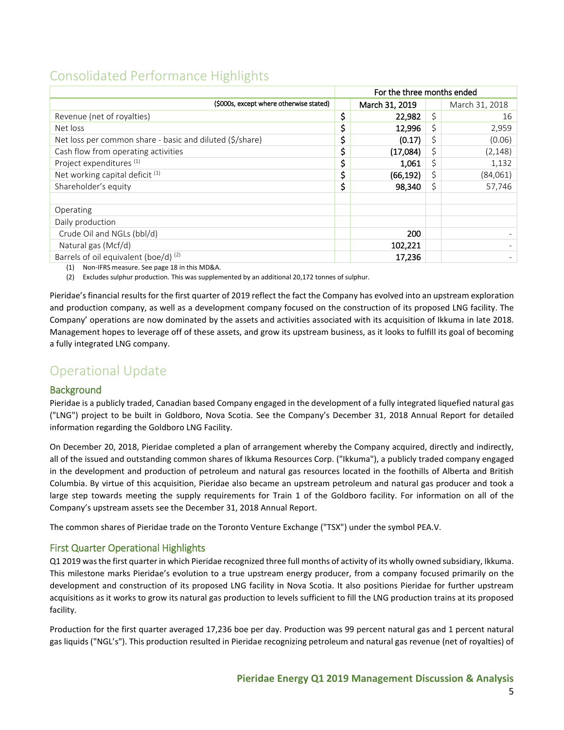# <span id="page-5-0"></span>Consolidated Performance Highlights

|                                                          | For the three months ended |                |    |                |
|----------------------------------------------------------|----------------------------|----------------|----|----------------|
| (\$000s, except where otherwise stated)                  |                            | March 31, 2019 |    | March 31, 2018 |
| Revenue (net of royalties)                               | \$                         | 22,982         | \$ | 16             |
| Net loss                                                 | \$                         | 12,996         | \$ | 2,959          |
| Net loss per common share - basic and diluted (\$/share) | \$                         | (0.17)         | \$ | (0.06)         |
| Cash flow from operating activities                      | \$                         | (17,084)       | \$ | (2, 148)       |
| Project expenditures <sup>(1)</sup>                      | \$                         | 1,061          | \$ | 1,132          |
| Net working capital deficit <sup>(1)</sup>               | \$                         | (66, 192)      |    | (84,061)       |
| Shareholder's equity                                     | \$                         | 98,340         | S  | 57,746         |
|                                                          |                            |                |    |                |
| Operating                                                |                            |                |    |                |
| Daily production                                         |                            |                |    |                |
| Crude Oil and NGLs (bbl/d)                               |                            | 200            |    |                |
| Natural gas (Mcf/d)                                      |                            | 102,221        |    |                |
| Barrels of oil equivalent (boe/d) $(2)$                  |                            | 17,236         |    |                |

(1) Non-IFRS measure. See page 18 in this MD&A.

(2) Excludes sulphur production. This was supplemented by an additional 20,172 tonnes of sulphur.

Pieridae's financial results for the first quarter of 2019 reflect the fact the Company has evolved into an upstream exploration and production company, as well as a development company focused on the construction of its proposed LNG facility. The Company' operations are now dominated by the assets and activities associated with its acquisition of Ikkuma in late 2018. Management hopes to leverage off of these assets, and grow its upstream business, as it looks to fulfill its goal of becoming a fully integrated LNG company.

# <span id="page-5-1"></span>Operational Update

## <span id="page-5-2"></span>**Background**

Pieridae is a publicly traded, Canadian based Company engaged in the development of a fully integrated liquefied natural gas ("LNG") project to be built in Goldboro, Nova Scotia. See the Company's December 31, 2018 Annual Report for detailed information regarding the Goldboro LNG Facility.

On December 20, 2018, Pieridae completed a plan of arrangement whereby the Company acquired, directly and indirectly, all of the issued and outstanding common shares of Ikkuma Resources Corp. ("Ikkuma"), a publicly traded company engaged in the development and production of petroleum and natural gas resources located in the foothills of Alberta and British Columbia. By virtue of this acquisition, Pieridae also became an upstream petroleum and natural gas producer and took a large step towards meeting the supply requirements for Train 1 of the Goldboro facility. For information on all of the Company's upstream assets see the December 31, 2018 Annual Report.

The common shares of Pieridae trade on the Toronto Venture Exchange ("TSX") under the symbol PEA.V.

## <span id="page-5-3"></span>First Quarter Operational Highlights

Q1 2019 was the first quarter in which Pieridae recognized three full months of activity of its wholly owned subsidiary, Ikkuma. This milestone marks Pieridae's evolution to a true upstream energy producer, from a company focused primarily on the development and construction of its proposed LNG facility in Nova Scotia. It also positions Pieridae for further upstream acquisitions as it works to grow its natural gas production to levels sufficient to fill the LNG production trains at its proposed facility.

Production for the first quarter averaged 17,236 boe per day. Production was 99 percent natural gas and 1 percent natural gas liquids ("NGL's"). This production resulted in Pieridae recognizing petroleum and natural gas revenue (net of royalties) of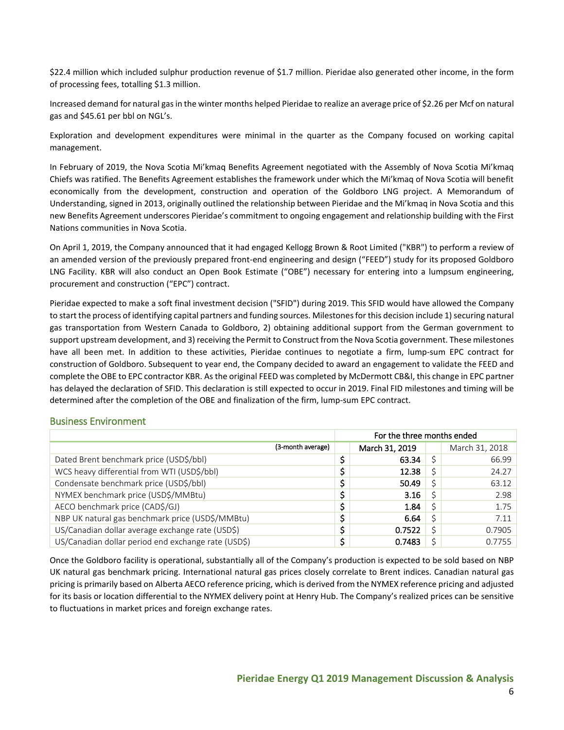\$22.4 million which included sulphur production revenue of \$1.7 million. Pieridae also generated other income, in the form of processing fees, totalling \$1.3 million.

Increased demand for natural gas in the winter months helped Pieridae to realize an average price of \$2.26 per Mcf on natural gas and \$45.61 per bbl on NGL's.

Exploration and development expenditures were minimal in the quarter as the Company focused on working capital management.

In February of 2019, the Nova Scotia Mi'kmaq Benefits Agreement negotiated with the Assembly of Nova Scotia Mi'kmaq Chiefs was ratified. The Benefits Agreement establishes the framework under which the Mi'kmaq of Nova Scotia will benefit economically from the development, construction and operation of the Goldboro LNG project. A Memorandum of Understanding, signed in 2013, originally outlined the relationship between Pieridae and the Mi'kmaq in Nova Scotia and this new Benefits Agreement underscores Pieridae's commitment to ongoing engagement and relationship building with the First Nations communities in Nova Scotia.

On April 1, 2019, the Company announced that it had engaged Kellogg Brown & Root Limited ("KBR") to perform a review of an amended version of the previously prepared front-end engineering and design ("FEED") study for its proposed Goldboro LNG Facility. KBR will also conduct an Open Book Estimate ("OBE") necessary for entering into a lumpsum engineering, procurement and construction ("EPC") contract.

Pieridae expected to make a soft final investment decision ("SFID") during 2019. This SFID would have allowed the Company to start the process of identifying capital partners and funding sources. Milestones for this decision include 1) securing natural gas transportation from Western Canada to Goldboro, 2) obtaining additional support from the German government to support upstream development, and 3) receiving the Permit to Construct from the Nova Scotia government. These milestones have all been met. In addition to these activities, Pieridae continues to negotiate a firm, lump-sum EPC contract for construction of Goldboro. Subsequent to year end, the Company decided to award an engagement to validate the FEED and complete the OBE to EPC contractor KBR. As the original FEED was completed by McDermott CB&I, this change in EPC partner has delayed the declaration of SFID. This declaration is still expected to occur in 2019. Final FID milestones and timing will be determined after the completion of the OBE and finalization of the firm, lump-sum EPC contract.

### <span id="page-6-0"></span>Business Environment

|                                                     |   | For the three months ended |  |                |  |
|-----------------------------------------------------|---|----------------------------|--|----------------|--|
| (3-month average)                                   |   | March 31, 2019             |  | March 31, 2018 |  |
| Dated Brent benchmark price (USD\$/bbl)             |   | 63.34                      |  | 66.99          |  |
| WCS heavy differential from WTI (USD\$/bbl)         |   | 12.38                      |  | 24.27          |  |
| Condensate benchmark price (USD\$/bbl)              |   | 50.49                      |  | 63.12          |  |
| NYMEX benchmark price (USD\$/MMBtu)                 |   | 3.16                       |  | 2.98           |  |
| AECO benchmark price (CAD\$/GJ)                     |   | 1.84                       |  | 1.75           |  |
| NBP UK natural gas benchmark price (USD\$/MMBtu)    |   | 6.64                       |  | 7.11           |  |
| US/Canadian dollar average exchange rate (USD\$)    | ċ | 0.7522                     |  | 0.7905         |  |
| US/Canadian dollar period end exchange rate (USD\$) | c | 0.7483                     |  | 0.7755         |  |

Once the Goldboro facility is operational, substantially all of the Company's production is expected to be sold based on NBP UK natural gas benchmark pricing. International natural gas prices closely correlate to Brent indices. Canadian natural gas pricing is primarily based on Alberta AECO reference pricing, which is derived from the NYMEX reference pricing and adjusted for its basis or location differential to the NYMEX delivery point at Henry Hub. The Company's realized prices can be sensitive to fluctuations in market prices and foreign exchange rates.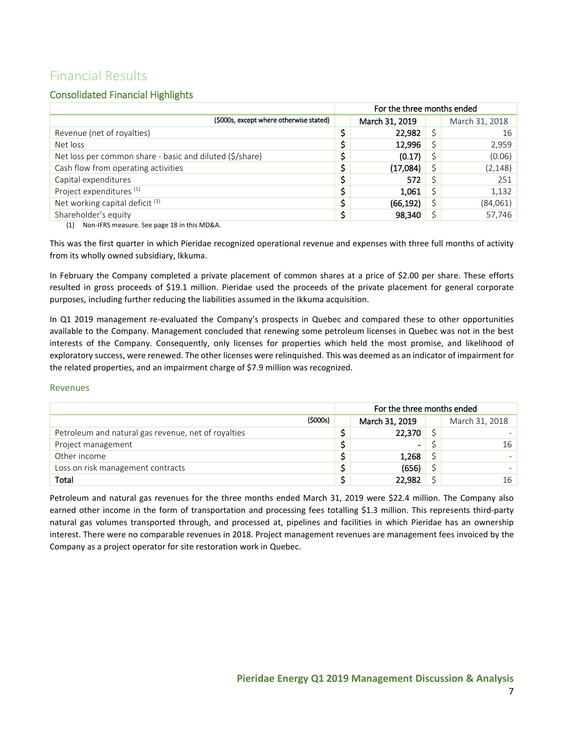# <span id="page-7-0"></span>Financial Results

## <span id="page-7-1"></span>Consolidated Financial Highlights

|                                                          | For the three months ended |                |    |                |
|----------------------------------------------------------|----------------------------|----------------|----|----------------|
| (\$000s, except where otherwise stated)                  |                            | March 31, 2019 |    | March 31, 2018 |
| Revenue (net of royalties)                               |                            | 22,982         | Ś  | 16             |
| Net loss                                                 |                            | 12,996         | Ś  | 2,959          |
| Net loss per common share - basic and diluted (\$/share) | \$                         | (0.17)         | Ś  | (0.06)         |
| Cash flow from operating activities                      |                            | (17,084)       |    | (2, 148)       |
| Capital expenditures                                     | \$                         | 572            |    | 251            |
| Project expenditures <sup>(1)</sup>                      | \$                         | 1,061          | Ś  | 1,132          |
| Net working capital deficit <sup>(1)</sup>               |                            | (66, 192)      | Ś  | (84,061)       |
| Shareholder's equity                                     | \$                         | 98,340         | Ś. | 57,746         |
| Non-IFRS measure. See page 18 in this MD&A.<br>(1)       |                            |                |    |                |

This was the first quarter in which Pieridae recognized operational revenue and expenses with three full months of activity from its wholly owned subsidiary, Ikkuma.

In February the Company completed a private placement of common shares at a price of \$2.00 per share. These efforts resulted in gross proceeds of \$19.1 million. Pieridae used the proceeds of the private placement for general corporate purposes, including further reducing the liabilities assumed in the Ikkuma acquisition.

In Q1 2019 management re-evaluated the Company's prospects in Quebec and compared these to other opportunities available to the Company. Management concluded that renewing some petroleum licenses in Quebec was not in the best interests of the Company. Consequently, only licenses for properties which held the most promise, and likelihood of exploratory success, were renewed. The other licenses were relinquished. This was deemed as an indicator of impairment for the related properties, and an impairment charge of \$7.9 million was recognized.

#### Revenues

|                                                     |         | For the three months ended |                          |  |                |
|-----------------------------------------------------|---------|----------------------------|--------------------------|--|----------------|
|                                                     | (5000s) |                            | March 31, 2019           |  | March 31, 2018 |
| Petroleum and natural gas revenue, net of royalties |         |                            | 22,370                   |  |                |
| Project management                                  |         |                            | $\overline{\phantom{0}}$ |  | 16             |
| Other income                                        |         |                            | 1,268                    |  |                |
| Loss on risk management contracts                   |         |                            | (656)                    |  |                |
| <b>Total</b>                                        |         |                            | 22.982                   |  | 16             |

Petroleum and natural gas revenues for the three months ended March 31, 2019 were \$22.4 million. The Company also earned other income in the form of transportation and processing fees totalling \$1.3 million. This represents third-party natural gas volumes transported through, and processed at, pipelines and facilities in which Pieridae has an ownership interest. There were no comparable revenues in 2018. Project management revenues are management fees invoiced by the Company as a project operator for site restoration work in Quebec.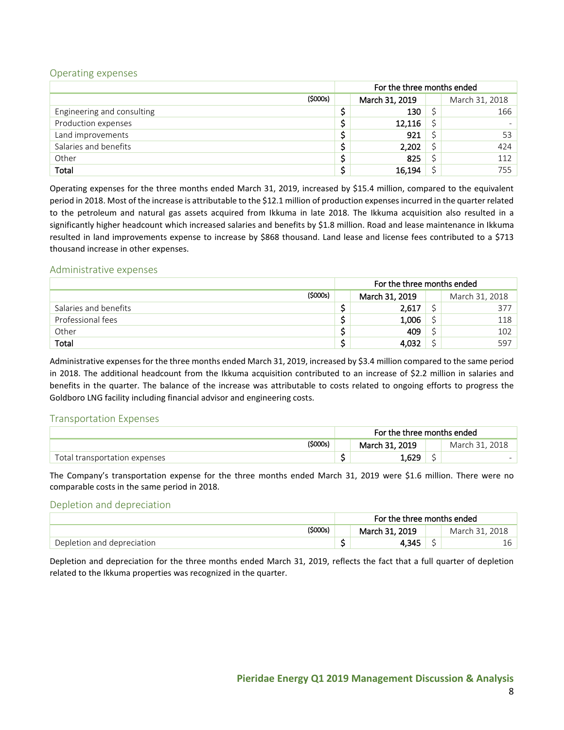#### <span id="page-8-0"></span>Operating expenses

|                            |         | For the three months ended |  |                |
|----------------------------|---------|----------------------------|--|----------------|
|                            | (5000s) | March 31, 2019             |  | March 31, 2018 |
| Engineering and consulting |         | 130                        |  | 166            |
| Production expenses        |         | 12,116                     |  |                |
| Land improvements          |         | 921                        |  | 53             |
| Salaries and benefits      |         | 2,202                      |  | 424            |
| Other                      |         | 825                        |  | 112            |
| Total                      |         | 16,194                     |  | 755            |

Operating expenses for the three months ended March 31, 2019, increased by \$15.4 million, compared to the equivalent period in 2018. Most of the increase is attributable to the \$12.1 million of production expenses incurred in the quarter related to the petroleum and natural gas assets acquired from Ikkuma in late 2018. The Ikkuma acquisition also resulted in a significantly higher headcount which increased salaries and benefits by \$1.8 million. Road and lease maintenance in Ikkuma resulted in land improvements expense to increase by \$868 thousand. Land lease and license fees contributed to a \$713 thousand increase in other expenses.

#### <span id="page-8-1"></span>Administrative expenses

|                       |         | For the three months ended |                |  |                |
|-----------------------|---------|----------------------------|----------------|--|----------------|
|                       | (5000s) |                            | March 31, 2019 |  | March 31, 2018 |
| Salaries and benefits |         |                            | 2,617          |  | 377            |
| Professional fees     |         |                            | 1,006          |  | 118            |
| Other                 |         |                            | 409            |  | 102            |
| <b>Total</b>          |         |                            | 4,032          |  | 597            |

Administrative expenses for the three months ended March 31, 2019, increased by \$3.4 million compared to the same period in 2018. The additional headcount from the Ikkuma acquisition contributed to an increase of \$2.2 million in salaries and benefits in the quarter. The balance of the increase was attributable to costs related to ongoing efforts to progress the Goldboro LNG facility including financial advisor and engineering costs.

#### <span id="page-8-2"></span>Transportation Expenses

|                               | For the three months ended |     |                     |
|-------------------------------|----------------------------|-----|---------------------|
| (\$000s)                      | March 31, 2019             |     | . 2018<br>March 31. |
| Total transportation expenses | 1,629                      | د ب |                     |

The Company's transportation expense for the three months ended March 31, 2019 were \$1.6 million. There were no comparable costs in the same period in 2018.

#### <span id="page-8-3"></span>Depletion and depreciation

|                            | For the three months ended |   |  |
|----------------------------|----------------------------|---|--|
| (\$000s)                   | March 31, 2019             |   |  |
| Depletion and depreciation | 345،،                      | - |  |

Depletion and depreciation for the three months ended March 31, 2019, reflects the fact that a full quarter of depletion related to the Ikkuma properties was recognized in the quarter.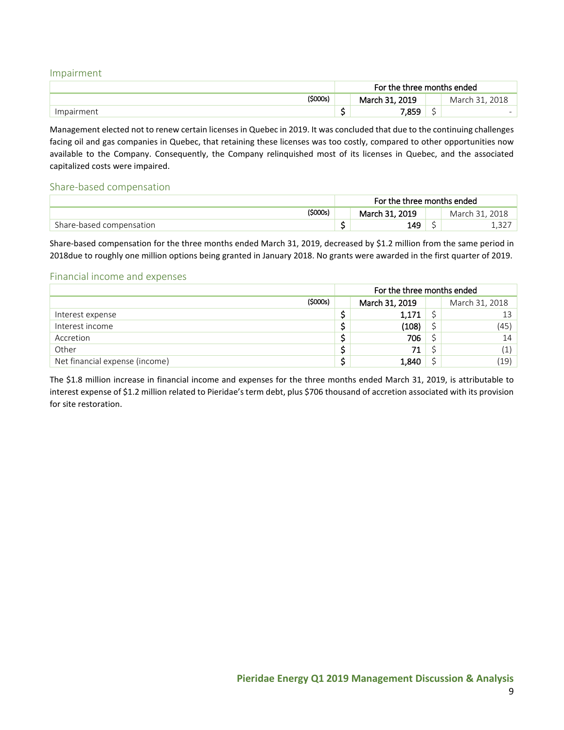#### <span id="page-9-0"></span>Impairment

|            | For the three months ended |                               |               |
|------------|----------------------------|-------------------------------|---------------|
| '\$000s)   | March 31, 2019             |                               | 2018<br>March |
| Impairment | 859.′                      | $\overline{\phantom{a}}$<br>┘ |               |

Management elected not to renew certain licenses in Quebec in 2019. It was concluded that due to the continuing challenges facing oil and gas companies in Quebec, that retaining these licenses was too costly, compared to other opportunities now available to the Company. Consequently, the Company relinquished most of its licenses in Quebec, and the associated capitalized costs were impaired.

#### <span id="page-9-1"></span>Share-based compensation

|                          | For the three months ended |                |  |                     |
|--------------------------|----------------------------|----------------|--|---------------------|
| \$000s)                  |                            | March 31, 2019 |  | . 2018<br>March 31. |
| Share-based compensation |                            | 149            |  |                     |

Share-based compensation for the three months ended March 31, 2019, decreased by \$1.2 million from the same period in 2018due to roughly one million options being granted in January 2018. No grants were awarded in the first quarter of 2019.

#### <span id="page-9-2"></span>Financial income and expenses

|                                |         | For the three months ended |       |  |                                                |  |
|--------------------------------|---------|----------------------------|-------|--|------------------------------------------------|--|
|                                | (5000s) | March 31, 2019             |       |  | March 31, 2018                                 |  |
| Interest expense               |         |                            | 1,171 |  | 13                                             |  |
| Interest income                |         |                            | (108) |  | (45)                                           |  |
| Accretion                      |         |                            | 706   |  | 14                                             |  |
| Other                          |         |                            | 71    |  | $\left( \begin{matrix} 1 \end{matrix} \right)$ |  |
| Net financial expense (income) |         |                            | 1,840 |  | (19)                                           |  |

The \$1.8 million increase in financial income and expenses for the three months ended March 31, 2019, is attributable to interest expense of \$1.2 million related to Pieridae's term debt, plus \$706 thousand of accretion associated with its provision for site restoration.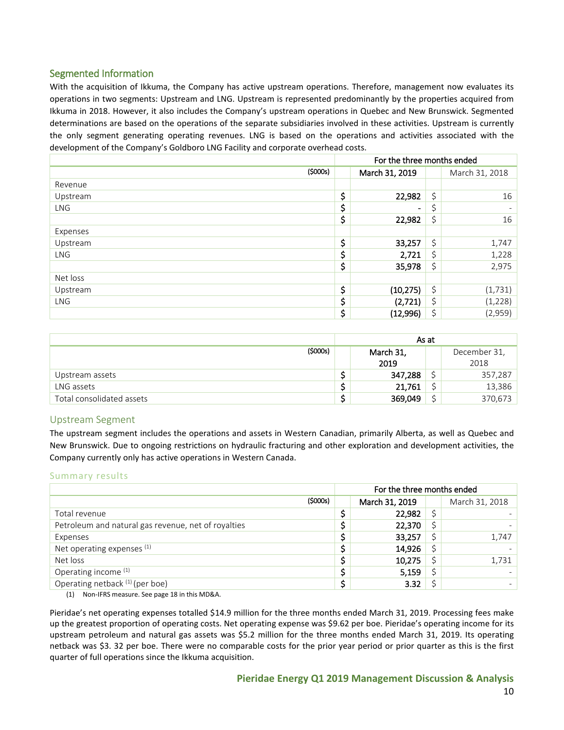## <span id="page-10-0"></span>Segmented Information

With the acquisition of Ikkuma, the Company has active upstream operations. Therefore, management now evaluates its operations in two segments: Upstream and LNG. Upstream is represented predominantly by the properties acquired from Ikkuma in 2018. However, it also includes the Company's upstream operations in Quebec and New Brunswick. Segmented determinations are based on the operations of the separate subsidiaries involved in these activities. Upstream is currently the only segment generating operating revenues. LNG is based on the operations and activities associated with the development of the Company's Goldboro LNG Facility and corporate overhead costs.

|            | For the three months ended |         |                |  |  |
|------------|----------------------------|---------|----------------|--|--|
| (5000s)    | March 31, 2019             |         | March 31, 2018 |  |  |
| Revenue    |                            |         |                |  |  |
| Upstream   | \$<br>22,982               | \$      | 16             |  |  |
| <b>LNG</b> | \$<br>Ξ.                   | \$,     |                |  |  |
|            | \$<br>22,982               | $\zeta$ | 16             |  |  |
| Expenses   |                            |         |                |  |  |
| Upstream   | \$<br>33,257               | \$      | 1,747          |  |  |
| <b>LNG</b> | \$<br>2,721                | \$      | 1,228          |  |  |
|            | \$<br>35,978               | \$      | 2,975          |  |  |
| Net loss   |                            |         |                |  |  |
| Upstream   | \$<br>(10, 275)            | \$      | (1, 731)       |  |  |
| <b>LNG</b> | \$<br>(2,721)              | \$      | (1, 228)       |  |  |
|            | \$<br>(12,996)             | \$      | (2,959)        |  |  |

|                           |   | As at     |                |         |  |
|---------------------------|---|-----------|----------------|---------|--|
| (5000s)                   |   | March 31, | December 31,   |         |  |
|                           |   | 2019      |                | 2018    |  |
| Upstream assets           |   | 347,288   | ÷              | 357,287 |  |
| LNG assets                |   | 21,761    | $\overline{a}$ | 13,386  |  |
| Total consolidated assets | ∽ | 369,049   | $\overline{a}$ | 370,673 |  |

### <span id="page-10-1"></span>Upstream Segment

The upstream segment includes the operations and assets in Western Canadian, primarily Alberta, as well as Quebec and New Brunswick. Due to ongoing restrictions on hydraulic fracturing and other exploration and development activities, the Company currently only has active operations in Western Canada.

#### Summary results

|                                                     | For the three months ended |  |                |  |
|-----------------------------------------------------|----------------------------|--|----------------|--|
| (5000s)                                             | March 31, 2019             |  | March 31, 2018 |  |
| Total revenue                                       | 22,982                     |  |                |  |
| Petroleum and natural gas revenue, net of royalties | 22,370                     |  |                |  |
| Expenses                                            | 33,257                     |  | 1,747          |  |
| Net operating expenses $(1)$                        | 14,926                     |  |                |  |
| Net loss                                            | 10,275                     |  | 1,731          |  |
| Operating income (1)                                | 5,159                      |  |                |  |
| Operating netback (1) (per boe)                     | 3.32                       |  |                |  |

(1) Non-IFRS measure. See page 18 in this MD&A.

Pieridae's net operating expenses totalled \$14.9 million for the three months ended March 31, 2019. Processing fees make up the greatest proportion of operating costs. Net operating expense was \$9.62 per boe. Pieridae's operating income for its upstream petroleum and natural gas assets was \$5.2 million for the three months ended March 31, 2019. Its operating netback was \$3. 32 per boe. There were no comparable costs for the prior year period or prior quarter as this is the first quarter of full operations since the Ikkuma acquisition.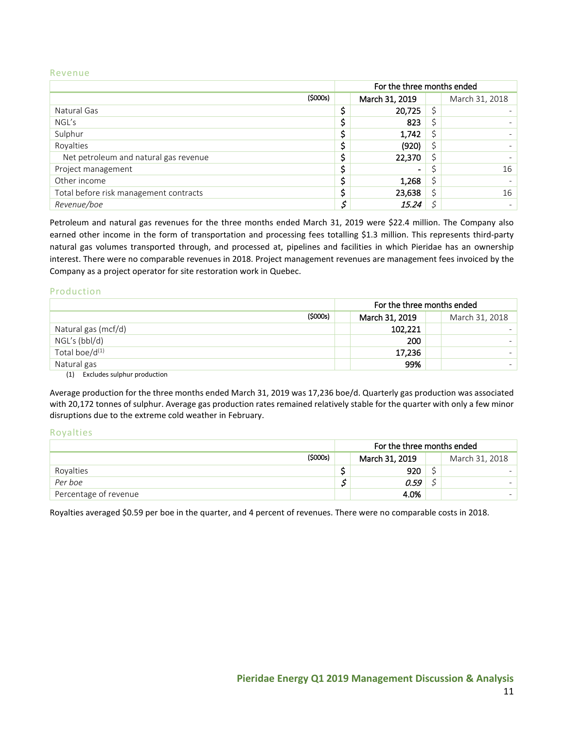#### Revenue

|                                        | For the three months ended |                |    |                |
|----------------------------------------|----------------------------|----------------|----|----------------|
| (5000s)                                |                            | March 31, 2019 |    | March 31, 2018 |
| Natural Gas                            |                            | 20,725         |    |                |
| NGL's                                  |                            | 823            |    |                |
| Sulphur                                |                            | 1,742          | \$ |                |
| Royalties                              |                            | (920)          |    |                |
| Net petroleum and natural gas revenue  |                            | 22,370         |    |                |
| Project management                     |                            | $\blacksquare$ |    | 16             |
| Other income                           |                            | 1,268          |    |                |
| Total before risk management contracts |                            | 23,638         |    | 16             |
| Revenue/boe                            |                            | 15.24          |    |                |

Petroleum and natural gas revenues for the three months ended March 31, 2019 were \$22.4 million. The Company also earned other income in the form of transportation and processing fees totalling \$1.3 million. This represents third-party natural gas volumes transported through, and processed at, pipelines and facilities in which Pieridae has an ownership interest. There were no comparable revenues in 2018. Project management revenues are management fees invoiced by the Company as a project operator for site restoration work in Quebec.

#### Production

|                                  |         | For the three months ended       |  |  |  |  |
|----------------------------------|---------|----------------------------------|--|--|--|--|
|                                  | (5000s) | March 31, 2019<br>March 31, 2018 |  |  |  |  |
| Natural gas (mcf/d)              |         | 102,221                          |  |  |  |  |
| NGL's (bbl/d)                    |         | 200                              |  |  |  |  |
| Total boe/d <sup>(1)</sup>       |         | 17,236                           |  |  |  |  |
| Natural gas<br>$\cdots$ $\cdots$ |         | 99%                              |  |  |  |  |

(1) Excludes sulphur production

Average production for the three months ended March 31, 2019 was 17,236 boe/d. Quarterly gas production was associated with 20,172 tonnes of sulphur. Average gas production rates remained relatively stable for the quarter with only a few minor disruptions due to the extreme cold weather in February.

#### Royalties

|                       |         | For the three months ended |                |   |  |  |
|-----------------------|---------|----------------------------|----------------|---|--|--|
|                       | (5000s) |                            | March 31, 2018 |   |  |  |
| Royalties             |         |                            | 920            | ᅩ |  |  |
| Per boe               |         |                            | 0.59           |   |  |  |
| Percentage of revenue |         |                            | 4.0%           |   |  |  |

Royalties averaged \$0.59 per boe in the quarter, and 4 percent of revenues. There were no comparable costs in 2018.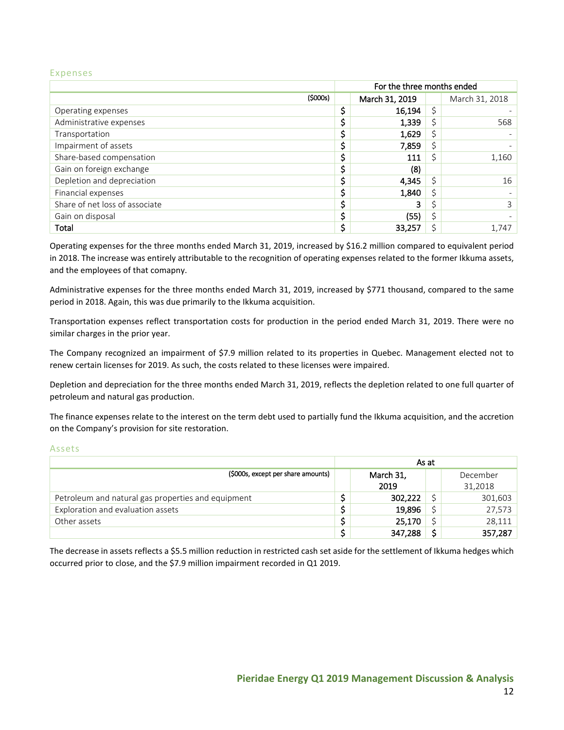#### Expenses

|                                | For the three months ended |    |                |  |  |
|--------------------------------|----------------------------|----|----------------|--|--|
| (5000s)                        | March 31, 2019             |    | March 31, 2018 |  |  |
| Operating expenses             | 16,194                     | Ś. |                |  |  |
| Administrative expenses        | 1,339                      | Ś  | 568            |  |  |
| Transportation                 | 1,629                      | \$ |                |  |  |
| Impairment of assets           | 7,859                      | \$ |                |  |  |
| Share-based compensation       | 111                        |    | 1,160          |  |  |
| Gain on foreign exchange       | (8)                        |    |                |  |  |
| Depletion and depreciation     | 4,345                      |    | 16             |  |  |
| Financial expenses             | 1,840                      | Ś  |                |  |  |
| Share of net loss of associate |                            |    | 3              |  |  |
| Gain on disposal               | (55)                       | \$ |                |  |  |
| Total                          | 33,257                     |    | 1.747          |  |  |

Operating expenses for the three months ended March 31, 2019, increased by \$16.2 million compared to equivalent period in 2018. The increase was entirely attributable to the recognition of operating expenses related to the former Ikkuma assets, and the employees of that comapny.

Administrative expenses for the three months ended March 31, 2019, increased by \$771 thousand, compared to the same period in 2018. Again, this was due primarily to the Ikkuma acquisition.

Transportation expenses reflect transportation costs for production in the period ended March 31, 2019. There were no similar charges in the prior year.

The Company recognized an impairment of \$7.9 million related to its properties in Quebec. Management elected not to renew certain licenses for 2019. As such, the costs related to these licenses were impaired.

Depletion and depreciation for the three months ended March 31, 2019, reflects the depletion related to one full quarter of petroleum and natural gas production.

The finance expenses relate to the interest on the term debt used to partially fund the Ikkuma acquisition, and the accretion on the Company's provision for site restoration.

#### Assets

|                                                    | As at     |         |  |          |  |
|----------------------------------------------------|-----------|---------|--|----------|--|
| (\$000s, except per share amounts)                 | March 31, |         |  | December |  |
|                                                    |           | 2019    |  | 31,2018  |  |
| Petroleum and natural gas properties and equipment |           | 302,222 |  | 301,603  |  |
| Exploration and evaluation assets                  |           | 19,896  |  | 27,573   |  |
| Other assets                                       |           | 25,170  |  | 28,111   |  |
|                                                    |           | 347,288 |  | 357,287  |  |

The decrease in assets reflects a \$5.5 million reduction in restricted cash set aside for the settlement of Ikkuma hedges which occurred prior to close, and the \$7.9 million impairment recorded in Q1 2019.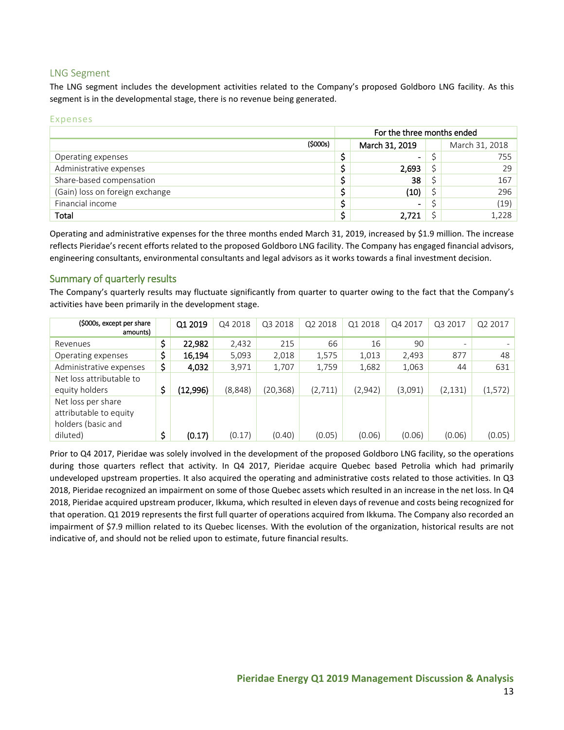## <span id="page-13-0"></span>LNG Segment

The LNG segment includes the development activities related to the Company's proposed Goldboro LNG facility. As this segment is in the developmental stage, there is no revenue being generated.

#### Expenses

|                                 |         | For the three months ended |                          |  |                |
|---------------------------------|---------|----------------------------|--------------------------|--|----------------|
|                                 | (5000s) |                            | March 31, 2019           |  | March 31, 2018 |
| Operating expenses              |         |                            | $\blacksquare$           |  | 755            |
| Administrative expenses         |         |                            | 2,693                    |  | 29             |
| Share-based compensation        |         |                            | 38                       |  | 167            |
| (Gain) loss on foreign exchange |         |                            | (10)                     |  | 296            |
| Financial income                |         |                            | $\overline{\phantom{a}}$ |  | (19)           |
| Total                           |         |                            | 2.721                    |  | 1,228          |

Operating and administrative expenses for the three months ended March 31, 2019, increased by \$1.9 million. The increase reflects Pieridae's recent efforts related to the proposed Goldboro LNG facility. The Company has engaged financial advisors, engineering consultants, environmental consultants and legal advisors as it works towards a final investment decision.

## <span id="page-13-1"></span>Summary of quarterly results

The Company's quarterly results may fluctuate significantly from quarter to quarter owing to the fact that the Company's activities have been primarily in the development stage.

| (\$000s, except per share<br>amounts)                              | Q1 2019        | Q4 2018 | Q3 2018  | Q2 2018 | Q1 2018 | Q4 2017 | Q3 2017                  | Q2 2017  |
|--------------------------------------------------------------------|----------------|---------|----------|---------|---------|---------|--------------------------|----------|
| Revenues                                                           | \$<br>22,982   | 2,432   | 215      | 66      | 16      | 90      | $\overline{\phantom{0}}$ |          |
| Operating expenses                                                 | \$<br>16,194   | 5,093   | 2,018    | 1,575   | 1,013   | 2,493   | 877                      | 48       |
| Administrative expenses                                            | \$<br>4,032    | 3,971   | 1,707    | 1,759   | 1,682   | 1,063   | 44                       | 631      |
| Net loss attributable to                                           |                |         |          |         |         |         |                          |          |
| equity holders                                                     | \$<br>(12,996) | (8,848) | (20,368) | (2,711) | (2,942) | (3,091) | (2, 131)                 | (1, 572) |
| Net loss per share<br>attributable to equity<br>holders (basic and |                |         |          |         |         |         |                          |          |
| diluted)                                                           | \$<br>(0.17)   | (0.17)  | (0.40)   | (0.05)  | (0.06)  | (0.06)  | (0.06)                   | (0.05)   |

Prior to Q4 2017, Pieridae was solely involved in the development of the proposed Goldboro LNG facility, so the operations during those quarters reflect that activity. In Q4 2017, Pieridae acquire Quebec based Petrolia which had primarily undeveloped upstream properties. It also acquired the operating and administrative costs related to those activities. In Q3 2018, Pieridae recognized an impairment on some of those Quebec assets which resulted in an increase in the net loss. In Q4 2018, Pieridae acquired upstream producer, Ikkuma, which resulted in eleven days of revenue and costs being recognized for that operation. Q1 2019 represents the first full quarter of operations acquired from Ikkuma. The Company also recorded an impairment of \$7.9 million related to its Quebec licenses. With the evolution of the organization, historical results are not indicative of, and should not be relied upon to estimate, future financial results.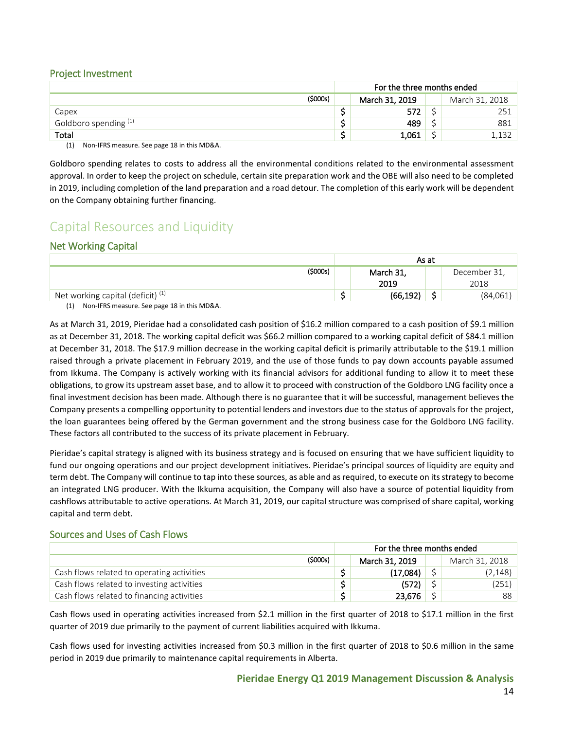### <span id="page-14-0"></span>Project Investment

|                       |         | For the three months ended       |       |  |       |  |  |
|-----------------------|---------|----------------------------------|-------|--|-------|--|--|
|                       | (5000s) | March 31, 2019<br>March 31, 2018 |       |  |       |  |  |
| Capex                 |         |                                  | 572   |  | 251   |  |  |
| Goldboro spending (1) |         |                                  | 489   |  | 881   |  |  |
| Total                 |         |                                  | 1,061 |  | 1,132 |  |  |

(1) Non-IFRS measure. See page 18 in this MD&A.

Goldboro spending relates to costs to address all the environmental conditions related to the environmental assessment approval. In order to keep the project on schedule, certain site preparation work and the OBE will also need to be completed in 2019, including completion of the land preparation and a road detour. The completion of this early work will be dependent on the Company obtaining further financing.

## <span id="page-14-1"></span>Capital Resources and Liquidity

## <span id="page-14-2"></span>Net Working Capital

|                                              |          | As at     |        |              |  |
|----------------------------------------------|----------|-----------|--------|--------------|--|
|                                              | (\$000s) | March 31, |        | December 31, |  |
|                                              |          | 2019      |        | 2018         |  |
| Net working capital (deficit) <sup>(1)</sup> |          | (66, 192) | ∽<br>ت | (84,061)     |  |

(1) Non-IFRS measure. See page 18 in this MD&A.

As at March 31, 2019, Pieridae had a consolidated cash position of \$16.2 million compared to a cash position of \$9.1 million as at December 31, 2018. The working capital deficit was \$66.2 million compared to a working capital deficit of \$84.1 million at December 31, 2018. The \$17.9 million decrease in the working capital deficit is primarily attributable to the \$19.1 million raised through a private placement in February 2019, and the use of those funds to pay down accounts payable assumed from Ikkuma. The Company is actively working with its financial advisors for additional funding to allow it to meet these obligations, to grow its upstream asset base, and to allow it to proceed with construction of the Goldboro LNG facility once a final investment decision has been made. Although there is no guarantee that it will be successful, management believes the Company presents a compelling opportunity to potential lenders and investors due to the status of approvals for the project, the loan guarantees being offered by the German government and the strong business case for the Goldboro LNG facility. These factors all contributed to the success of its private placement in February.

Pieridae's capital strategy is aligned with its business strategy and is focused on ensuring that we have sufficient liquidity to fund our ongoing operations and our project development initiatives. Pieridae's principal sources of liquidity are equity and term debt. The Company will continue to tap into these sources, as able and as required, to execute on its strategy to become an integrated LNG producer. With the Ikkuma acquisition, the Company will also have a source of potential liquidity from cashflows attributable to active operations. At March 31, 2019, our capital structure was comprised of share capital, working capital and term debt.

### <span id="page-14-3"></span>Sources and Uses of Cash Flows

|                                            |         | For the three months ended |                |  |                |  |
|--------------------------------------------|---------|----------------------------|----------------|--|----------------|--|
|                                            | (5000s) |                            | March 31, 2019 |  | March 31, 2018 |  |
| Cash flows related to operating activities |         |                            | (17,084)       |  | (2, 148)       |  |
| Cash flows related to investing activities |         |                            | (572)          |  | (251)          |  |
| Cash flows related to financing activities |         |                            | 23,676         |  | 88             |  |

Cash flows used in operating activities increased from \$2.1 million in the first quarter of 2018 to \$17.1 million in the first quarter of 2019 due primarily to the payment of current liabilities acquired with Ikkuma.

Cash flows used for investing activities increased from \$0.3 million in the first quarter of 2018 to \$0.6 million in the same period in 2019 due primarily to maintenance capital requirements in Alberta.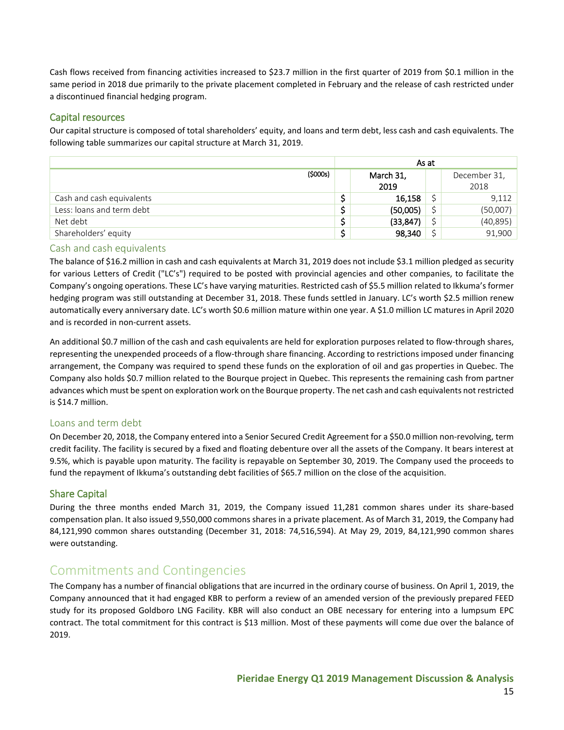Cash flows received from financing activities increased to \$23.7 million in the first quarter of 2019 from \$0.1 million in the same period in 2018 due primarily to the private placement completed in February and the release of cash restricted under a discontinued financial hedging program.

## <span id="page-15-0"></span>Capital resources

Our capital structure is composed of total shareholders' equity, and loans and term debt, less cash and cash equivalents. The following table summarizes our capital structure at March 31, 2019.

|                           | As at             |  |                      |  |
|---------------------------|-------------------|--|----------------------|--|
| (5000s)                   | March 31,<br>2019 |  | December 31,<br>2018 |  |
| Cash and cash equivalents | 16,158            |  | 9,112                |  |
| Less: loans and term debt | (50,005)          |  | (50,007)             |  |
| Net debt                  | (33, 847)         |  | (40, 895)            |  |
| Shareholders' equity      | 98,340            |  | 91,900               |  |

## <span id="page-15-1"></span>Cash and cash equivalents

The balance of \$16.2 million in cash and cash equivalents at March 31, 2019 does not include \$3.1 million pledged as security for various Letters of Credit ("LC's") required to be posted with provincial agencies and other companies, to facilitate the Company's ongoing operations. These LC's have varying maturities. Restricted cash of \$5.5 million related to Ikkuma's former hedging program was still outstanding at December 31, 2018. These funds settled in January. LC's worth \$2.5 million renew automatically every anniversary date. LC's worth \$0.6 million mature within one year. A \$1.0 million LC matures in April 2020 and is recorded in non-current assets.

An additional \$0.7 million of the cash and cash equivalents are held for exploration purposes related to flow-through shares, representing the unexpended proceeds of a flow-through share financing. According to restrictions imposed under financing arrangement, the Company was required to spend these funds on the exploration of oil and gas properties in Quebec. The Company also holds \$0.7 million related to the Bourque project in Quebec. This represents the remaining cash from partner advances which must be spent on exploration work on the Bourque property. The net cash and cash equivalents not restricted is \$14.7 million.

## <span id="page-15-2"></span>Loans and term debt

On December 20, 2018, the Company entered into a Senior Secured Credit Agreement for a \$50.0 million non-revolving, term credit facility. The facility is secured by a fixed and floating debenture over all the assets of the Company. It bears interest at 9.5%, which is payable upon maturity. The facility is repayable on September 30, 2019. The Company used the proceeds to fund the repayment of Ikkuma's outstanding debt facilities of \$65.7 million on the close of the acquisition.

## <span id="page-15-3"></span>Share Capital

During the three months ended March 31, 2019, the Company issued 11,281 common shares under its share-based compensation plan. It also issued 9,550,000 commons shares in a private placement. As of March 31, 2019, the Company had 84,121,990 common shares outstanding (December 31, 2018: 74,516,594). At May 29, 2019, 84,121,990 common shares were outstanding.

## <span id="page-15-4"></span>Commitments and Contingencies

The Company has a number of financial obligations that are incurred in the ordinary course of business. On April 1, 2019, the Company announced that it had engaged KBR to perform a review of an amended version of the previously prepared FEED study for its proposed Goldboro LNG Facility. KBR will also conduct an OBE necessary for entering into a lumpsum EPC contract. The total commitment for this contract is \$13 million. Most of these payments will come due over the balance of 2019.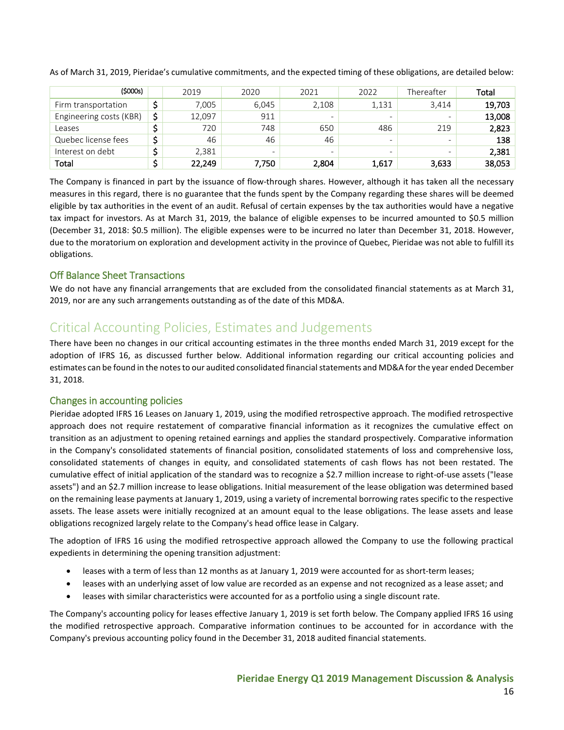| (\$000s)                | 2019         | 2020                     | 2021  | 2022  | Thereafter               | Total  |
|-------------------------|--------------|--------------------------|-------|-------|--------------------------|--------|
| Firm transportation     | 7.005        | 6.045                    | 2,108 | 1,131 | 3.414                    | 19,703 |
| Engineering costs (KBR) | \$<br>12,097 | 911                      | -     |       | $\overline{\phantom{0}}$ | 13,008 |
| Leases                  | 720          | 748                      | 650   | 486   | 219                      | 2,823  |
| Quebec license fees     | 46           | 46                       | 46    | -     | $\overline{\phantom{0}}$ | 138    |
| Interest on debt        | 2,381        | $\overline{\phantom{0}}$ | -     |       | $\overline{\phantom{0}}$ | 2,381  |
| Total                   | 22,249       | 7.750                    | 2,804 | 1.617 | 3,633                    | 38.053 |

As of March 31, 2019, Pieridae's cumulative commitments, and the expected timing of these obligations, are detailed below:

The Company is financed in part by the issuance of flow-through shares. However, although it has taken all the necessary measures in this regard, there is no guarantee that the funds spent by the Company regarding these shares will be deemed eligible by tax authorities in the event of an audit. Refusal of certain expenses by the tax authorities would have a negative tax impact for investors. As at March 31, 2019, the balance of eligible expenses to be incurred amounted to \$0.5 million (December 31, 2018: \$0.5 million). The eligible expenses were to be incurred no later than December 31, 2018. However, due to the moratorium on exploration and development activity in the province of Quebec, Pieridae was not able to fulfill its obligations.

## <span id="page-16-0"></span>Off Balance Sheet Transactions

We do not have any financial arrangements that are excluded from the consolidated financial statements as at March 31, 2019, nor are any such arrangements outstanding as of the date of this MD&A.

## <span id="page-16-1"></span>Critical Accounting Policies, Estimates and Judgements

There have been no changes in our critical accounting estimates in the three months ended March 31, 2019 except for the adoption of IFRS 16, as discussed further below. Additional information regarding our critical accounting policies and estimates can be found in the notes to our audited consolidated financial statements and MD&A for the year ended December 31, 2018.

### <span id="page-16-2"></span>Changes in accounting policies

Pieridae adopted IFRS 16 Leases on January 1, 2019, using the modified retrospective approach. The modified retrospective approach does not require restatement of comparative financial information as it recognizes the cumulative effect on transition as an adjustment to opening retained earnings and applies the standard prospectively. Comparative information in the Company's consolidated statements of financial position, consolidated statements of loss and comprehensive loss, consolidated statements of changes in equity, and consolidated statements of cash flows has not been restated. The cumulative effect of initial application of the standard was to recognize a \$2.7 million increase to right-of-use assets ("lease assets") and an \$2.7 million increase to lease obligations. Initial measurement of the lease obligation was determined based on the remaining lease payments at January 1, 2019, using a variety of incremental borrowing rates specific to the respective assets. The lease assets were initially recognized at an amount equal to the lease obligations. The lease assets and lease obligations recognized largely relate to the Company's head office lease in Calgary.

The adoption of IFRS 16 using the modified retrospective approach allowed the Company to use the following practical expedients in determining the opening transition adjustment:

- leases with a term of less than 12 months as at January 1, 2019 were accounted for as short-term leases;
- leases with an underlying asset of low value are recorded as an expense and not recognized as a lease asset; and
- leases with similar characteristics were accounted for as a portfolio using a single discount rate.

The Company's accounting policy for leases effective January 1, 2019 is set forth below. The Company applied IFRS 16 using the modified retrospective approach. Comparative information continues to be accounted for in accordance with the Company's previous accounting policy found in the December 31, 2018 audited financial statements.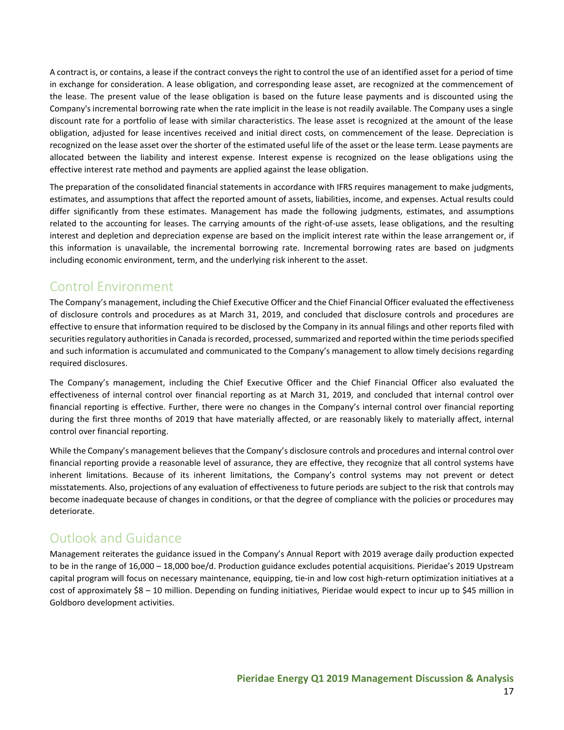A contract is, or contains, a lease if the contract conveys the right to control the use of an identified asset for a period of time in exchange for consideration. A lease obligation, and corresponding lease asset, are recognized at the commencement of the lease. The present value of the lease obligation is based on the future lease payments and is discounted using the Company's incremental borrowing rate when the rate implicit in the lease is not readily available. The Company uses a single discount rate for a portfolio of lease with similar characteristics. The lease asset is recognized at the amount of the lease obligation, adjusted for lease incentives received and initial direct costs, on commencement of the lease. Depreciation is recognized on the lease asset over the shorter of the estimated useful life of the asset or the lease term. Lease payments are allocated between the liability and interest expense. Interest expense is recognized on the lease obligations using the effective interest rate method and payments are applied against the lease obligation.

The preparation of the consolidated financial statements in accordance with IFRS requires management to make judgments, estimates, and assumptions that affect the reported amount of assets, liabilities, income, and expenses. Actual results could differ significantly from these estimates. Management has made the following judgments, estimates, and assumptions related to the accounting for leases. The carrying amounts of the right-of-use assets, lease obligations, and the resulting interest and depletion and depreciation expense are based on the implicit interest rate within the lease arrangement or, if this information is unavailable, the incremental borrowing rate. Incremental borrowing rates are based on judgments including economic environment, term, and the underlying risk inherent to the asset.

## <span id="page-17-0"></span>Control Environment

The Company's management, including the Chief Executive Officer and the Chief Financial Officer evaluated the effectiveness of disclosure controls and procedures as at March 31, 2019, and concluded that disclosure controls and procedures are effective to ensure that information required to be disclosed by the Company in its annual filings and other reports filed with securities regulatory authorities in Canada is recorded, processed, summarized and reported within the time periods specified and such information is accumulated and communicated to the Company's management to allow timely decisions regarding required disclosures.

The Company's management, including the Chief Executive Officer and the Chief Financial Officer also evaluated the effectiveness of internal control over financial reporting as at March 31, 2019, and concluded that internal control over financial reporting is effective. Further, there were no changes in the Company's internal control over financial reporting during the first three months of 2019 that have materially affected, or are reasonably likely to materially affect, internal control over financial reporting.

While the Company's management believes that the Company's disclosure controls and procedures and internal control over financial reporting provide a reasonable level of assurance, they are effective, they recognize that all control systems have inherent limitations. Because of its inherent limitations, the Company's control systems may not prevent or detect misstatements. Also, projections of any evaluation of effectiveness to future periods are subject to the risk that controls may become inadequate because of changes in conditions, or that the degree of compliance with the policies or procedures may deteriorate.

# <span id="page-17-1"></span>Outlook and Guidance

Management reiterates the guidance issued in the Company's Annual Report with 2019 average daily production expected to be in the range of 16,000 – 18,000 boe/d. Production guidance excludes potential acquisitions. Pieridae's 2019 Upstream capital program will focus on necessary maintenance, equipping, tie-in and low cost high-return optimization initiatives at a cost of approximately \$8 – 10 million. Depending on funding initiatives, Pieridae would expect to incur up to \$45 million in Goldboro development activities.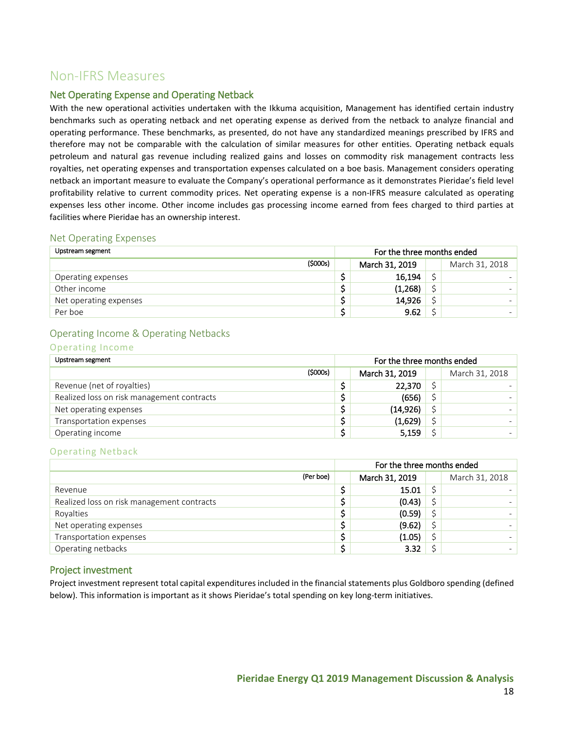## <span id="page-18-0"></span>Non-IFRS Measures

## <span id="page-18-1"></span>Net Operating Expense and Operating Netback

With the new operational activities undertaken with the Ikkuma acquisition, Management has identified certain industry benchmarks such as operating netback and net operating expense as derived from the netback to analyze financial and operating performance. These benchmarks, as presented, do not have any standardized meanings prescribed by IFRS and therefore may not be comparable with the calculation of similar measures for other entities. Operating netback equals petroleum and natural gas revenue including realized gains and losses on commodity risk management contracts less royalties, net operating expenses and transportation expenses calculated on a boe basis. Management considers operating netback an important measure to evaluate the Company's operational performance as it demonstrates Pieridae's field level profitability relative to current commodity prices. Net operating expense is a non-IFRS measure calculated as operating expenses less other income. Other income includes gas processing income earned from fees charged to third parties at facilities where Pieridae has an ownership interest.

## <span id="page-18-2"></span>Net Operating Expenses

| Upstream segment       |         | For the three months ended |                |  |                |
|------------------------|---------|----------------------------|----------------|--|----------------|
|                        | (5000s) |                            | March 31, 2019 |  | March 31, 2018 |
| Operating expenses     |         |                            | 16,194         |  |                |
| Other income           |         |                            | (1,268)        |  |                |
| Net operating expenses |         |                            | 14,926         |  |                |
| Per boe                |         |                            | 9.62           |  |                |

## <span id="page-18-3"></span>Operating Income & Operating Netbacks

#### Operating Income

| Upstream segment                           |         | For the three months ended |                |  |                |
|--------------------------------------------|---------|----------------------------|----------------|--|----------------|
|                                            | (5000s) |                            | March 31, 2019 |  | March 31, 2018 |
| Revenue (net of royalties)                 |         |                            | 22,370         |  |                |
| Realized loss on risk management contracts |         |                            | (656)          |  |                |
| Net operating expenses                     |         |                            | (14, 926)      |  |                |
| Transportation expenses                    |         |                            | (1,629)        |  |                |
| Operating income                           |         |                            | 5,159          |  |                |

### Operating Netback

|                                            | For the three months ended |  |                |  |  |
|--------------------------------------------|----------------------------|--|----------------|--|--|
| (Per boe)                                  | March 31, 2019             |  | March 31, 2018 |  |  |
| Revenue                                    | 15.01                      |  |                |  |  |
| Realized loss on risk management contracts | (0.43)                     |  |                |  |  |
| Royalties                                  | (0.59)                     |  |                |  |  |
| Net operating expenses                     | (9.62)                     |  |                |  |  |
| Transportation expenses                    | (1.05)                     |  |                |  |  |
| Operating netbacks                         | 3.32                       |  |                |  |  |

## <span id="page-18-4"></span>Project investment

Project investment represent total capital expenditures included in the financial statements plus Goldboro spending (defined below). This information is important as it shows Pieridae's total spending on key long-term initiatives.